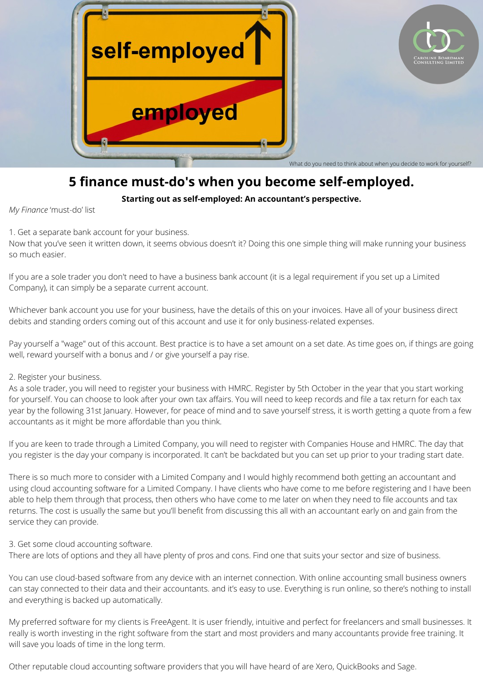

## **5 finance must-do's when you become self-employed.**

**Starting out as self-employed: An accountant's perspective.**

*My Finance* 'must-do' list

1. Get a separate bank account for your business.

Now that you've seen it written down, it seems obvious doesn't it? Doing this one simple thing will make running your business so much easier.

If you are a sole trader you don't need to have a business bank account (it is a legal requirement if you set up a Limited Company), it can simply be a separate current account.

Whichever bank account you use for your business, have the details of this on your invoices. Have all of your business direct debits and standing orders coming out of this account and use it for only business-related expenses.

Pay yourself a "wage" out of this account. Best practice is to have a set amount on a set date. As time goes on, if things are going well, reward yourself with a bonus and / or give yourself a pay rise.

## 2. Register your business.

As a sole trader, you will need to register your business with HMRC. Register by 5th October in the year that you start working for yourself. You can choose to look after your own tax affairs. You will need to keep records and file a tax return for each tax year by the following 31st January. However, for peace of mind and to save yourself stress, it is worth getting a quote from a few accountants as it might be more affordable than you think.

If you are keen to trade through a Limited Company, you will need to register with Companies House and HMRC. The day that you register is the day your company is incorporated. It can't be backdated but you can set up prior to your trading start date.

There is so much more to consider with a Limited Company and I would highly recommend both getting an accountant and using cloud accounting software for a Limited Company. I have clients who have come to me before registering and I have been able to help them through that process, then others who have come to me later on when they need to file accounts and tax returns. The cost is usually the same but you'll benefit from discussing this all with an accountant early on and gain from the service they can provide.

3. Get some cloud accounting software.

There are lots of options and they all have plenty of pros and cons. Find one that suits your sector and size of business.

You can use cloud-based software from any device with an internet connection. With online accounting small business owners can stay connected to their data and their accountants. and it's easy to use. Everything is run online, so there's nothing to install and everything is backed up automatically.

My preferred software for my clients is FreeAgent. It is user friendly, intuitive and perfect for freelancers and small businesses. It really is worth investing in the right software from the start and most providers and many accountants provide free training. It will save you loads of time in the long term.

Other reputable cloud accounting software providers that you will have heard of are Xero, QuickBooks and Sage.